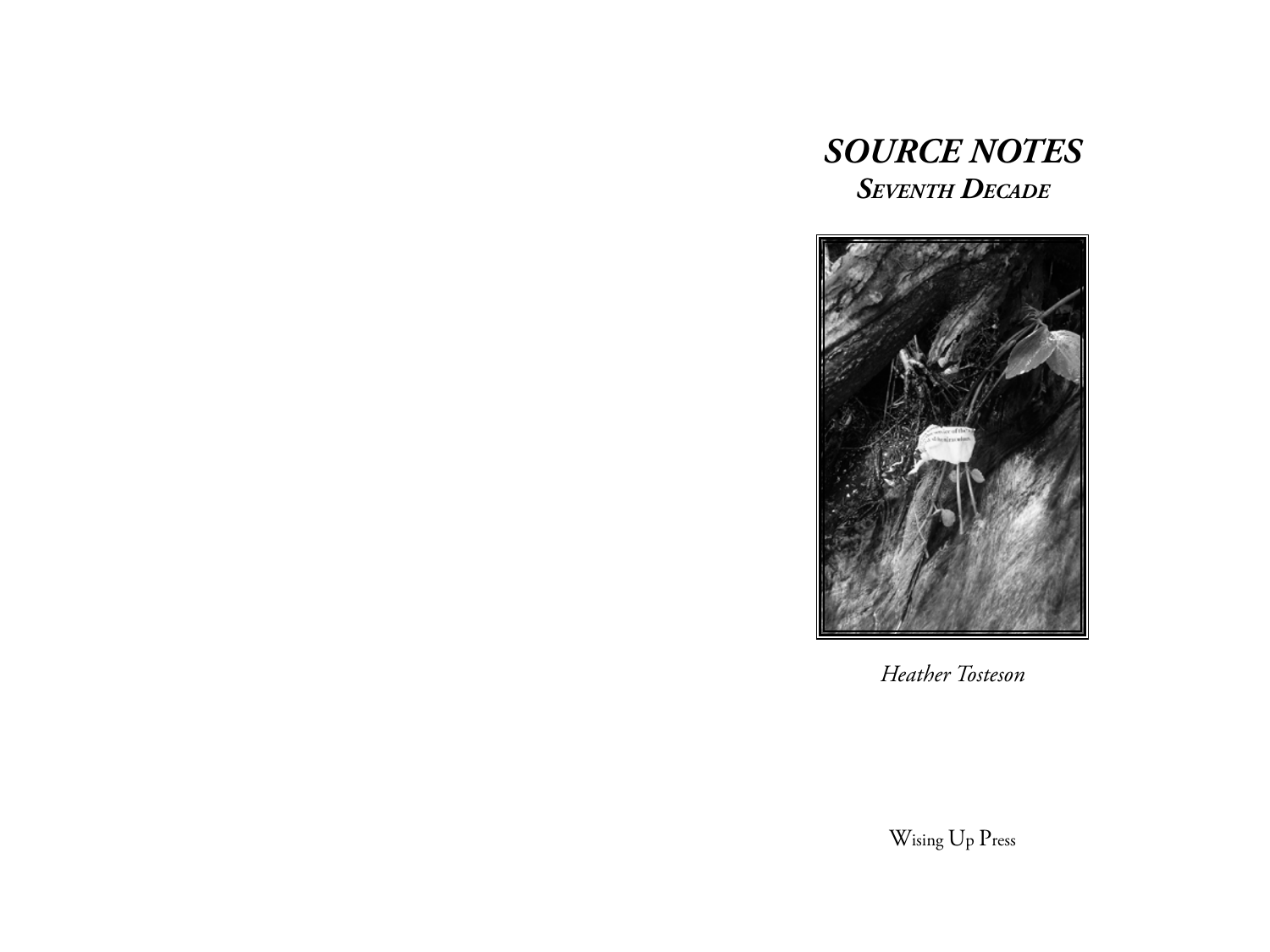# *SOURCE NOTES Seventh Decade*



*Heather Tosteson*

Wising Up Press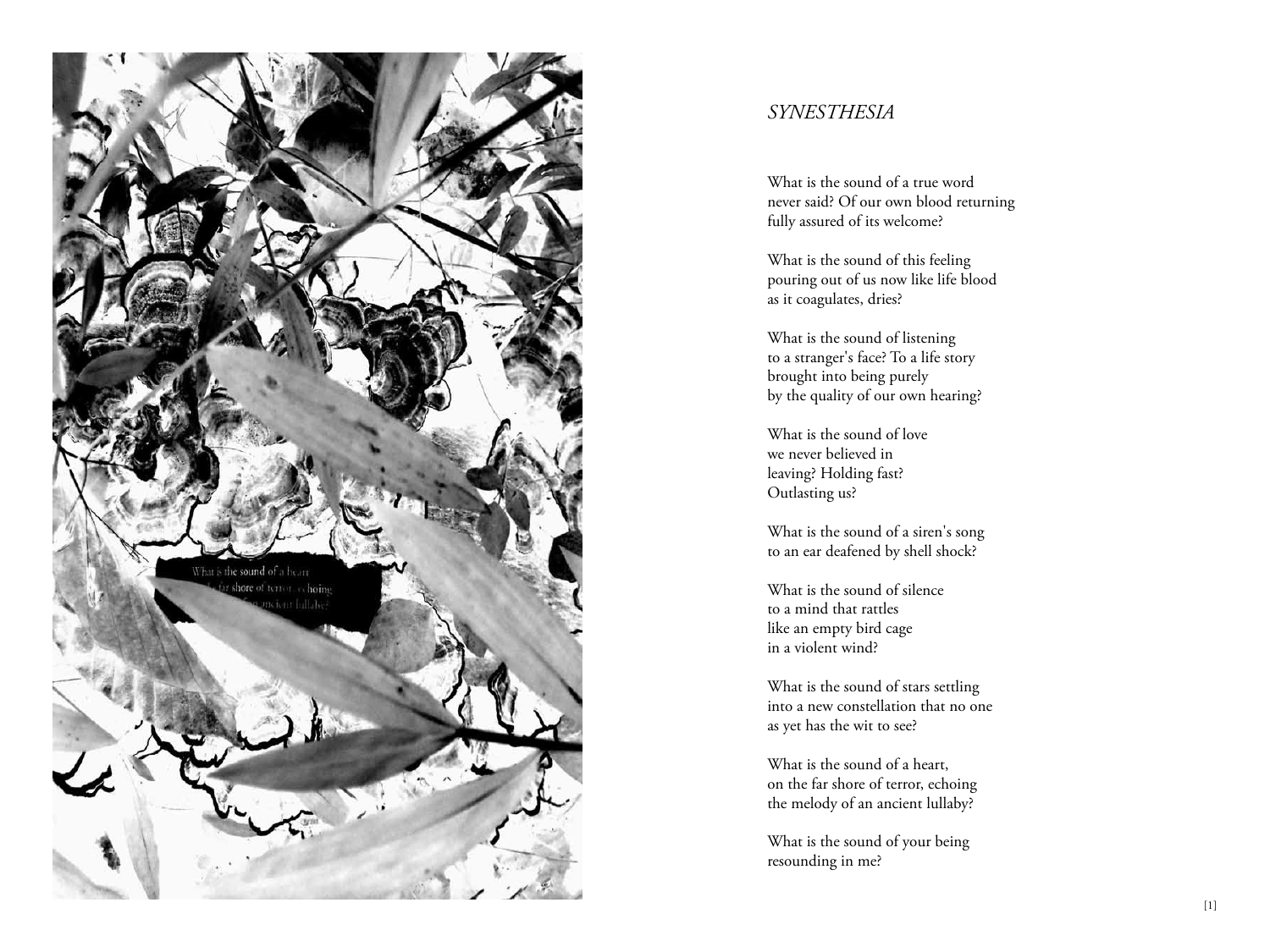

### *SYNESTHESIA*

What is the sound of a true word never said? Of our own blood returning fully assured of its welcome?

What is the sound of this feeling pouring out of us now like life blood as it coagulates, dries?

What is the sound of listening to a stranger's face? To a life story brought into being purely by the quality of our own hearing?

What is the sound of love we never believed in leaving? Holding fast? Outlasting us?

What is the sound of a siren's song to an ear deafened by shell shock?

What is the sound of silence to a mind that rattles like an empty bird cage in a violent wind?

What is the sound of stars settling into a new constellation that no one as yet has the wit to see?

What is the sound of a heart, on the far shore of terror, echoing the melody of an ancient lullaby?

What is the sound of your being resounding in me?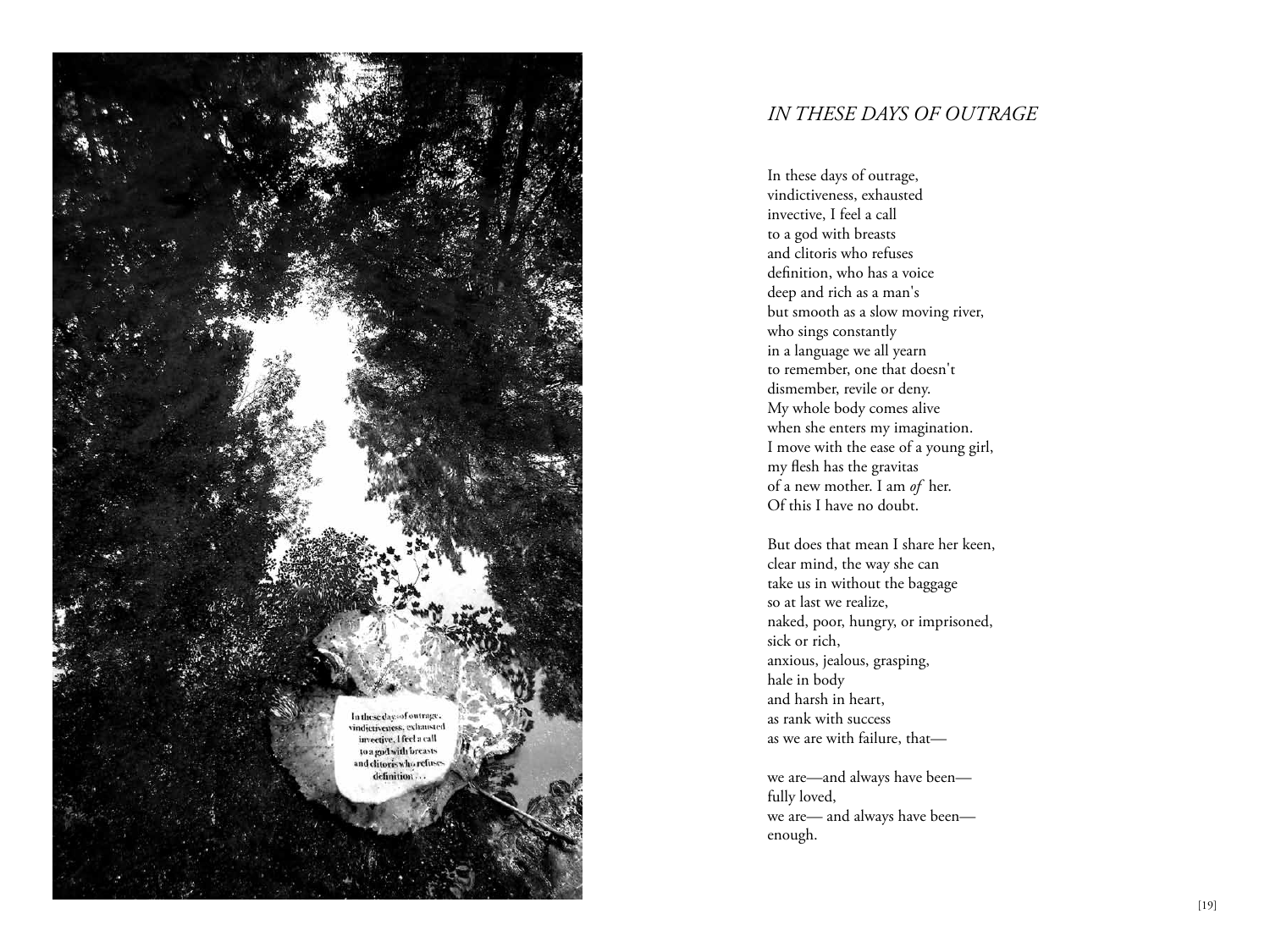

### *IN THESE DAYS OF OUTRAGE*

In these days of outrage, vindictiveness, exhausted invective, I feel a call to a god with breasts and clitoris who refuses definition, who has a voice deep and rich as a man's but smooth as a slow moving river, who sings constantly in a language we all yearn to remember, one that doesn't dismember, revile or deny. My whole body comes alive when she enters my imagination. I move with the ease of a young girl, my flesh has the gravitas of a new mother. I am *of* her. Of this I have no doubt.

But does that mean I share her keen, clear mind, the way she can take us in without the baggage so at last we realize, naked, poor, hungry, or imprisoned, sick or rich, anxious, jealous, grasping, hale in body and harsh in heart, as rank with success as we are with failure, that—

we are—and always have been fully loved, we are— and always have been enough.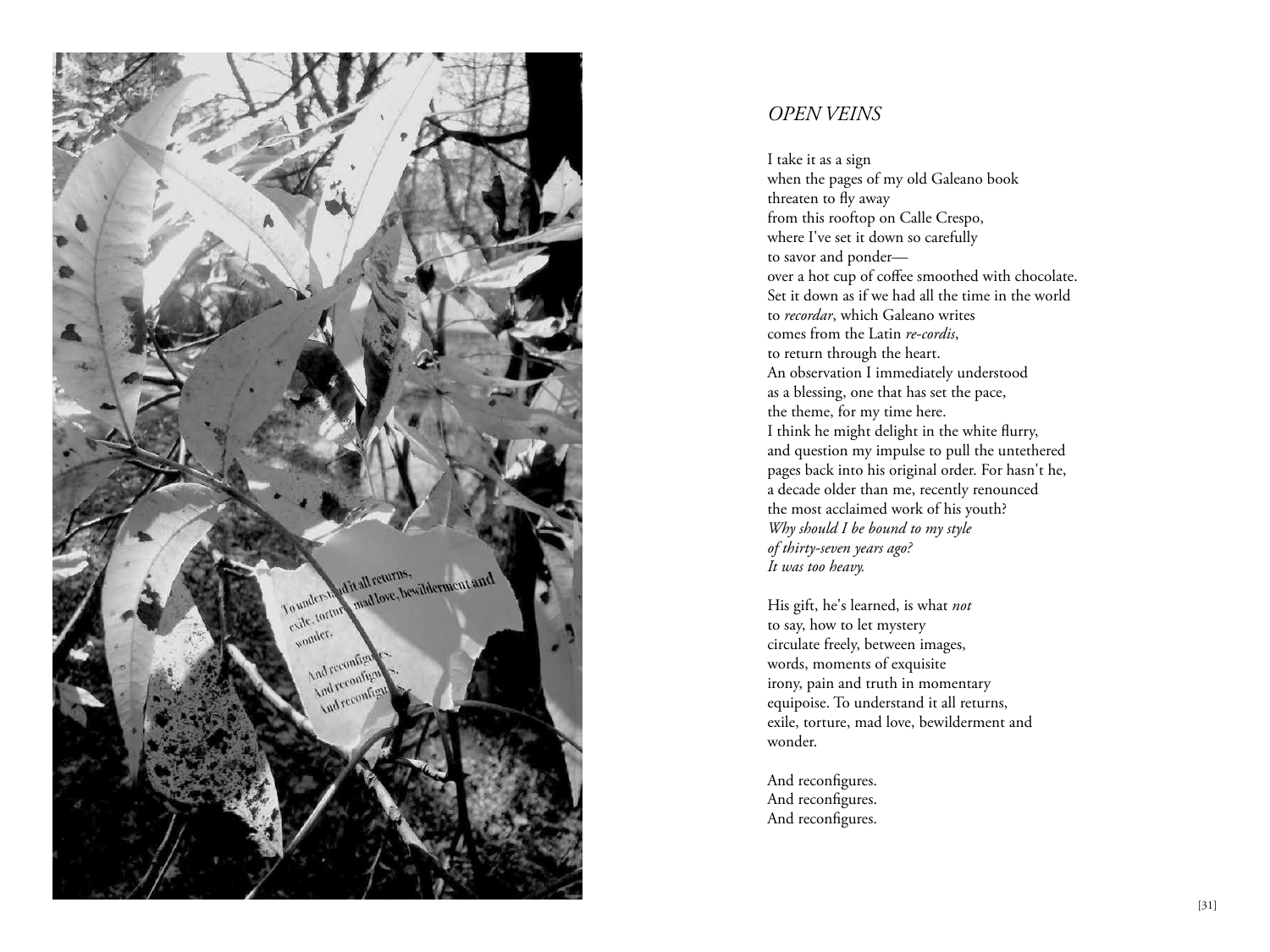

### *OPEN VEINS*

I take it as a sign when the pages of my old Galeano book threaten to fly away from this rooftop on Calle Crespo, where I've set it down so carefully to savor and ponder over a hot cup of coffee smoothed with chocolate. Set it down as if we had all the time in the world to *recordar*, which Galeano writes comes from the Latin *re-cordis*, to return through the heart. An observation I immediately understood as a blessing, one that has set the pace, the theme, for my time here. I think he might delight in the white flurry, and question my impulse to pull the untethered pages back into his original order. For hasn't he, a decade older than me, recently renounced the most acclaimed work of his youth? *Why should I be bound to my style of thirty-seven years ago? It was too heavy.* 

His gift, he's learned, is what *not*  to say, how to let mystery circulate freely, between images, words, moments of exquisite irony, pain and truth in momentary equipoise. To understand it all returns, exile, torture, mad love, bewilderment and wonder.

And reconfigures. And reconfigures. And reconfigures.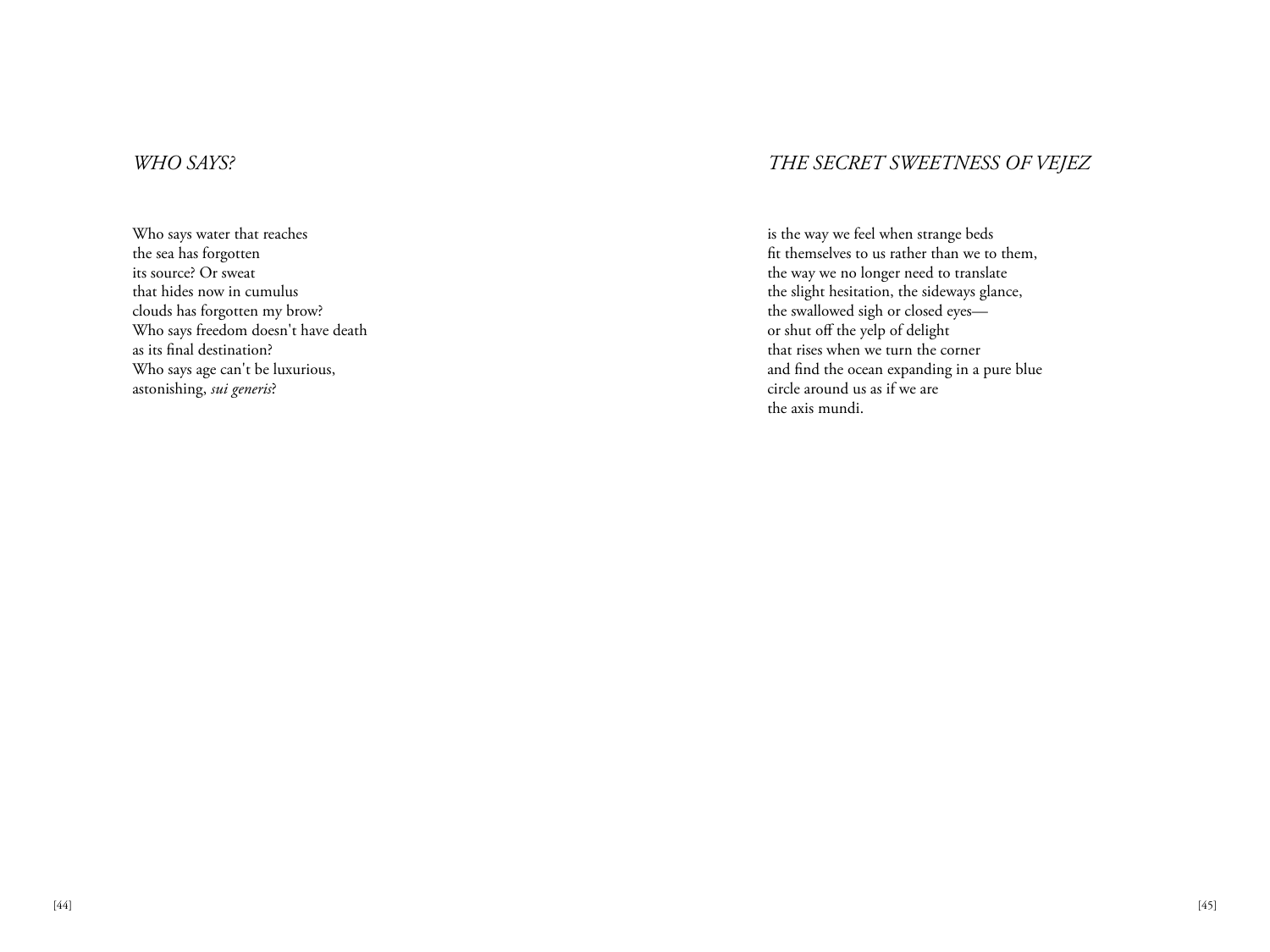### *WHO SAYS?*

Who says water that reaches the sea has forgotten its source? Or sweat that hides now in cumulus clouds has forgotten my brow? Who says freedom doesn't have death as its final destination? Who says age can't be luxurious, astonishing, *sui generis*?

### *THE SECRET SWEETNESS OF VEJEZ*

is the way we feel when strange beds fit themselves to us rather than we to them, the way we no longer need to translate the slight hesitation, the sideways glance, the swallowed sigh or closed eyes or shut off the yelp of delight that rises when we turn the corner and find the ocean expanding in a pure blue circle around us as if we are the axis mundi.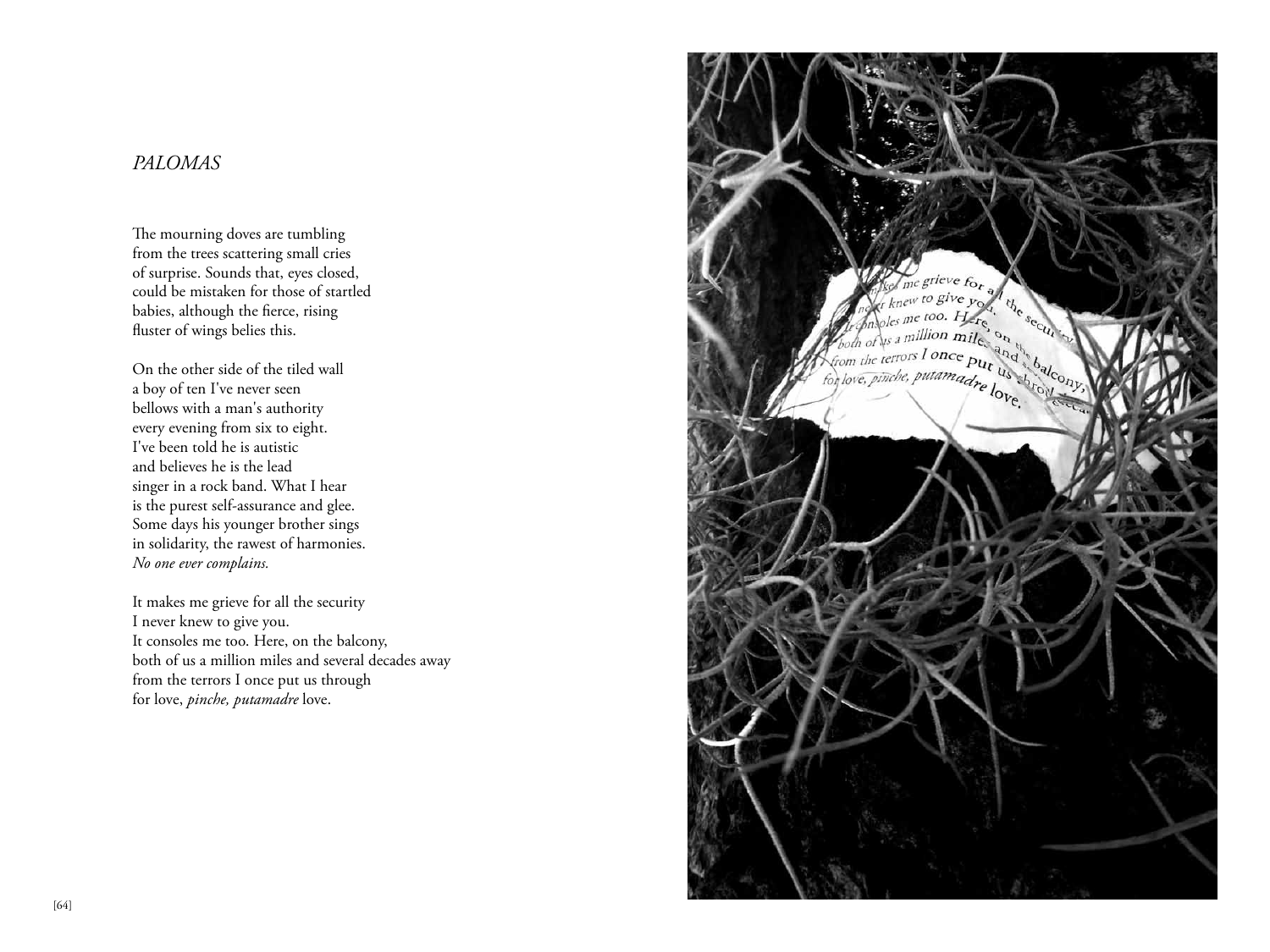### *PALOMAS*

The mourning doves are tumbling from the trees scattering small cries of surprise. Sounds that, eyes closed, could be mistaken for those of startled babies, although the fierce, rising fluster of wings belies this.

On the other side of the tiled wall a boy of ten I've never seen bellows with a man's authority every evening from six to eight. I've been told he is autistic and believes he is the lead singer in a rock band. What I hear is the purest self-assurance and glee. Some days his younger brother sings in solidarity, the rawest of harmonies. *No one ever complains.*

It makes me grieve for all the security I never knew to give you. It consoles me too. Here, on the balcony, both of us a million miles and several decades away from the terrors I once put us through for love, *pinche, putamadre* love.

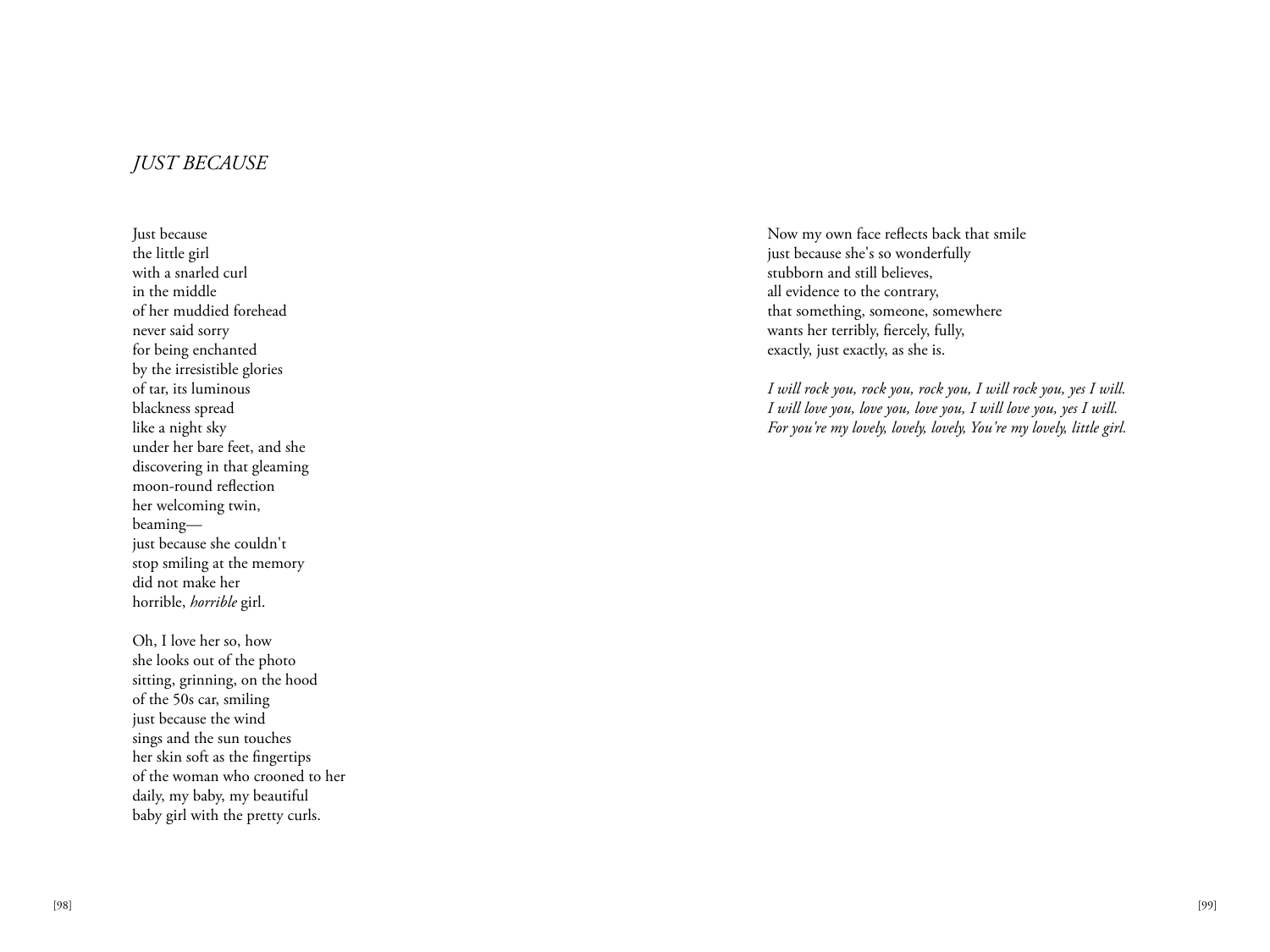### *JUST BECAUSE*

Just because the little girl with a snarled curl in the middle of her muddied forehead never said sorry for being enchanted by the irresistible glories of tar, its luminous blackness spread like a night sky under her bare feet, and she discovering in that gleaming moon-round reflection her welcoming twin, beaming just because she couldn't stop smiling at the memory did not make her horrible, *horrible* girl.

Oh, I love her so, how she looks out of the photo sitting, grinning, on the hood of the 50s car, smiling just because the wind sings and the sun touches her skin soft as the fingertips of the woman who crooned to her daily, my baby, my beautiful baby girl with the pretty curls.

Now my own face reflects back that smile just because she's so wonderfully stubborn and still believes, all evidence to the contrary, that something, someone, somewhere wants her terribly, fiercely, fully, exactly, just exactly, as she is.

*I will rock you, rock you, rock you, I will rock you, yes I will. I will love you, love you, love you, I will love you, yes I will. For you're my lovely, lovely, lovely, You're my lovely, little girl.*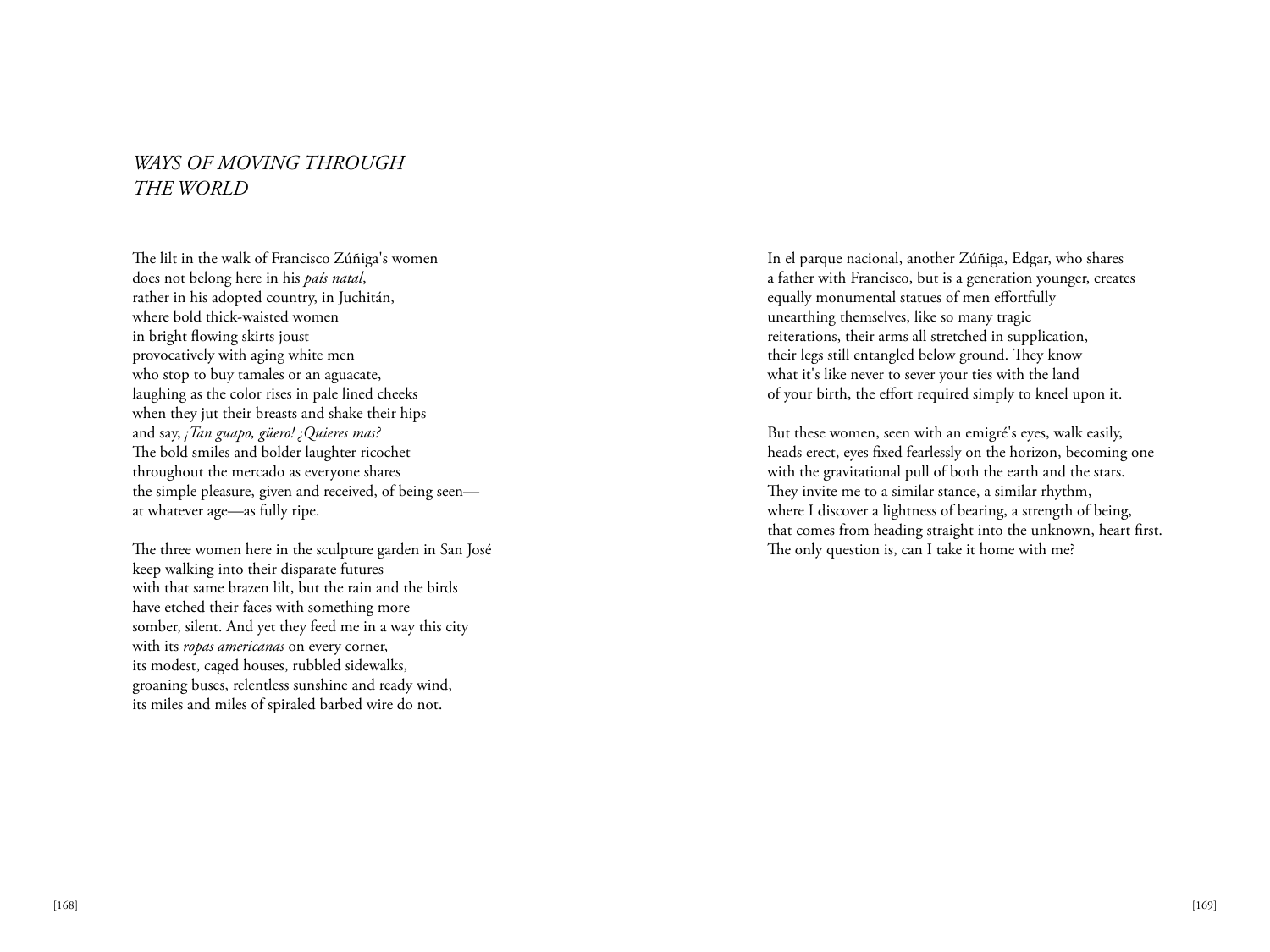### *WAYS OF MOVING THROUGH THE WORLD*

The lilt in the walk of Francisco Zúñiga's women does not belong here in his *país natal*, rather in his adopted country, in Juchitán, where bold thick-waisted women in bright flowing skirts joust provocatively with aging white men who stop to buy tamales or an aguacate, laughing as the color rises in pale lined cheeks when they jut their breasts and shake their hips and say, *¡Tan guapo, güero! ¿Quieres mas?* The bold smiles and bolder laughter ricochet throughout the mercado as everyone shares the simple pleasure, given and received, of being seen at whatever age—as fully ripe.

The three women here in the sculpture garden in San José keep walking into their disparate futures with that same brazen lilt, but the rain and the birds have etched their faces with something more somber, silent. And yet they feed me in a way this city with its *ropas americanas* on every corner, its modest, caged houses, rubbled sidewalks, groaning buses, relentless sunshine and ready wind, its miles and miles of spiraled barbed wire do not.

In el parque nacional, another Zúñiga, Edgar, who shares a father with Francisco, but is a generation younger, creates equally monumental statues of men effortfully unearthing themselves, like so many tragic reiterations, their arms all stretched in supplication, their legs still entangled below ground. They know what it's like never to sever your ties with the land of your birth, the effort required simply to kneel upon it.

But these women, seen with an emigré's eyes, walk easily, heads erect, eyes fixed fearlessly on the horizon, becoming one with the gravitational pull of both the earth and the stars. They invite me to a similar stance, a similar rhythm, where I discover a lightness of bearing, a strength of being, that comes from heading straight into the unknown, heart first. The only question is, can I take it home with me?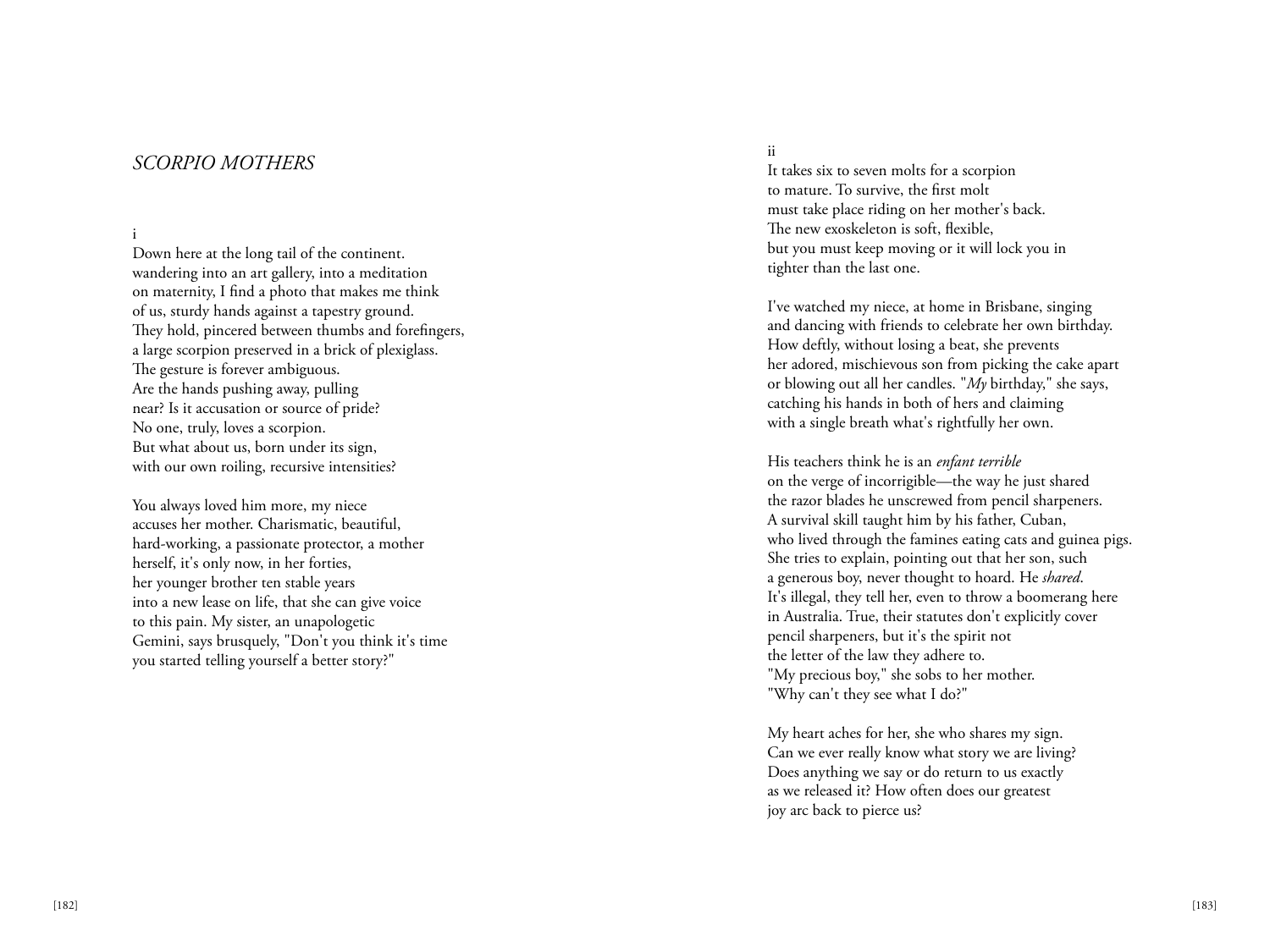### *SCORPIO MOTHERS*

### i

Down here at the long tail of the continent. wandering into an art gallery, into a meditation on maternity, I find a photo that makes me think of us, sturdy hands against a tapestry ground. They hold, pincered between thumbs and forefingers, a large scorpion preserved in a brick of plexiglass. The gesture is forever ambiguous. Are the hands pushing away, pulling near? Is it accusation or source of pride? No one, truly, loves a scorpion. But what about us, born under its sign, with our own roiling, recursive intensities?

You always loved him more, my niece accuses her mother. Charismatic, beautiful, hard-working, a passionate protector, a mother herself, it's only now, in her forties, her younger brother ten stable years into a new lease on life, that she can give voice to this pain. My sister, an unapologetic Gemini, says brusquely, "Don't you think it's time you started telling yourself a better story?"

#### ii

It takes six to seven molts for a scorpion to mature. To survive, the first molt must take place riding on her mother's back. The new exoskeleton is soft, flexible, but you must keep moving or it will lock you in tighter than the last one.

I've watched my niece, at home in Brisbane, singing and dancing with friends to celebrate her own birthday. How deftly, without losing a beat, she prevents her adored, mischievous son from picking the cake apart or blowing out all her candles. "*My* birthday," she says, catching his hands in both of hers and claiming with a single breath what's rightfully her own.

His teachers think he is an *enfant terrible* on the verge of incorrigible—the way he just shared the razor blades he unscrewed from pencil sharpeners. A survival skill taught him by his father, Cuban, who lived through the famines eating cats and guinea pigs. She tries to explain, pointing out that her son, such a generous boy, never thought to hoard. He *shared*. It's illegal, they tell her, even to throw a boomerang here in Australia. True, their statutes don't explicitly cover pencil sharpeners, but it's the spirit not the letter of the law they adhere to. "My precious boy," she sobs to her mother. "Why can't they see what I do?"

My heart aches for her, she who shares my sign. Can we ever really know what story we are living? Does anything we say or do return to us exactly as we released it? How often does our greatest joy arc back to pierce us?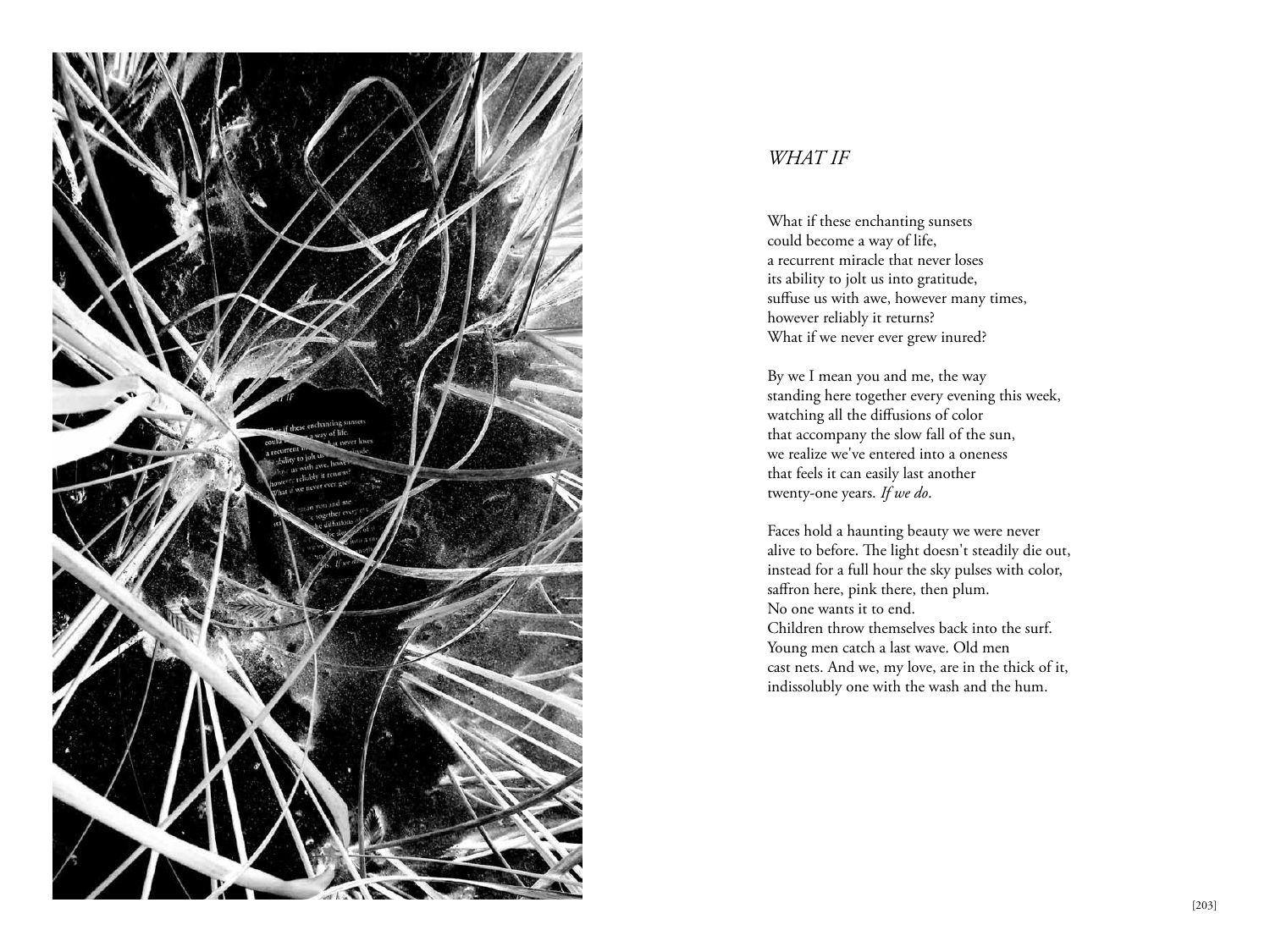

### *WHAT IF*

What if these enchanting sunsets could become a way of life, a recurrent miracle that never loses its ability to jolt us into gratitude, suffuse us with awe, however many times, however reliably it returns? What if we never ever grew inured?

By we I mean you and me, the way standing here together every evening this week, watching all the diffusions of color that accompany the slow fall of the sun, we realize we've entered into a oneness that feels it can easily last another twenty-one years. *If we do*.

Faces hold a haunting beauty we were never alive to before. The light doesn't steadily die out, instead for a full hour the sky pulses with color, saffron here, pink there, then plum. No one wants it to end. Children throw themselves back into the surf. Young men catch a last wave. Old men cast nets. And we, my love, are in the thick of it, indissolubly one with the wash and the hum.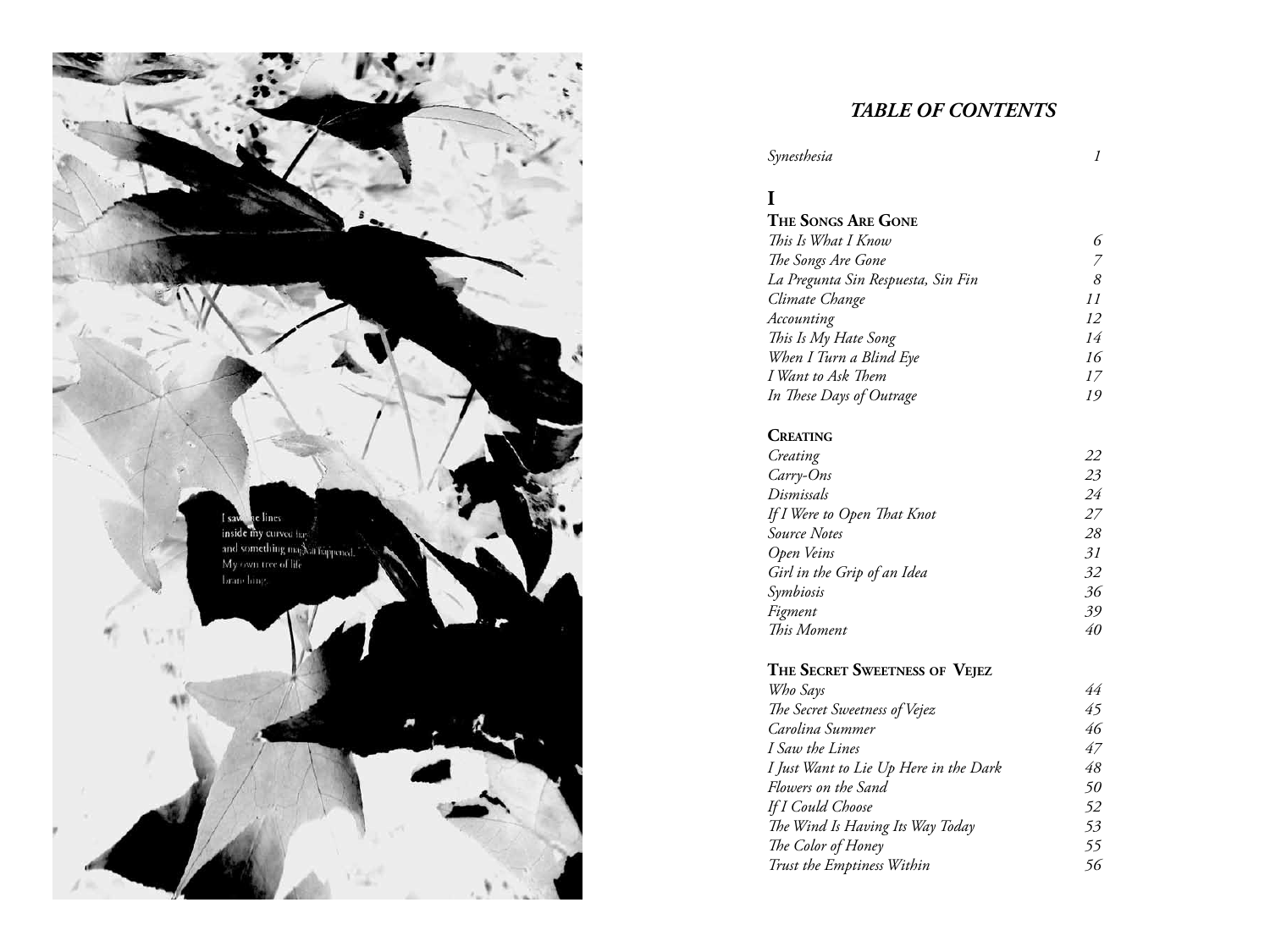

### *TABLE OF CONTENTS*

| Synesthesia                        | 1  |
|------------------------------------|----|
| I                                  |    |
| <b>THE SONGS ARE GONE</b>          |    |
| This Is What I Know                | 6  |
| The Songs Are Gone                 | 7  |
| La Pregunta Sin Respuesta, Sin Fin | 8  |
| Climate Change                     | 11 |
| Accounting                         | 12 |
| This Is My Hate Song               | 14 |
| When I Turn a Blind Eye            | 16 |
| I Want to Ask Them                 | 17 |
| In These Days of Outrage           | 19 |
| <b>CREATING</b>                    |    |
| Creating                           | 22 |
| Carry-Ons                          | 23 |
| Dismissals                         | 24 |
| If I Were to Open That Knot        | 27 |
| <b>Source Notes</b>                | 28 |
| Open Veins                         | 31 |
| Girl in the Grip of an Idea        | 32 |
| Symbiosis                          | 36 |
| Figment                            | 39 |

### **The Secret Sweetness of Vejez**

| Who Says                               | 44 |
|----------------------------------------|----|
| The Secret Sweetness of Vejez          | 45 |
| Carolina Summer                        | 46 |
| I Saw the Lines                        | 47 |
| I Just Want to Lie Up Here in the Dark | 48 |
| Flowers on the Sand                    | 50 |
| <b>If I Could Choose</b>               | 52 |
| The Wind Is Having Its Way Today       | 53 |
| The Color of Honey                     | 55 |
| Trust the Emptiness Within             | 56 |
|                                        |    |

*This Moment 40*